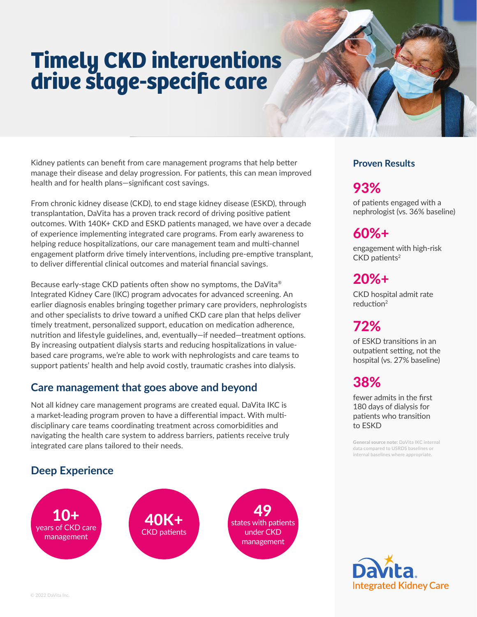# **Timely CKD interventions drive stage-specific care**

Kidney patients can benefit from care management programs that help better manage their disease and delay progression. For patients, this can mean improved health and for health plans—significant cost savings.

From chronic kidney disease (CKD), to end stage kidney disease (ESKD), through transplantation, DaVita has a proven track record of driving positive patient outcomes. With 140K+ CKD and ESKD patients managed, we have over a decade of experience implementing integrated care programs. From early awareness to helping reduce hospitalizations, our care management team and multi-channel engagement platform drive timely interventions, including pre-emptive transplant, to deliver differential clinical outcomes and material financial savings.

Because early-stage CKD patients often show no symptoms, the DaVita® Integrated Kidney Care (IKC) program advocates for advanced screening. An earlier diagnosis enables bringing together primary care providers, nephrologists and other specialists to drive toward a unified CKD care plan that helps deliver timely treatment, personalized support, education on medication adherence, nutrition and lifestyle guidelines, and, eventually—if needed—treatment options. By increasing outpatient dialysis starts and reducing hospitalizations in valuebased care programs, we're able to work with nephrologists and care teams to support patients' health and help avoid costly, traumatic crashes into dialysis.

### **Care management that goes above and beyond**

Not all kidney care management programs are created equal. DaVita IKC is a market-leading program proven to have a differential impact. With multidisciplinary care teams coordinating treatment across comorbidities and navigating the health care system to address barriers, patients receive truly integrated care plans tailored to their needs.

### **Deep Experience**



### **Proven Results**

# 93%

of patients engaged with a nephrologist (vs. 36% baseline)

# 60%+

engagement with high-risk  $CKD$  patients<sup>2</sup>

# 20%+

CKD hospital admit rate reduction<sup>2</sup>

# 72%

of ESKD transitions in an outpatient setting, not the hospital (vs. 27% baseline)

# 38%

fewer admits in the first 180 days of dialysis for patients who transition to ESKD

**General source note:** DaVita IKC internal data compared to USRDS baselines or internal baselines where appropriate.